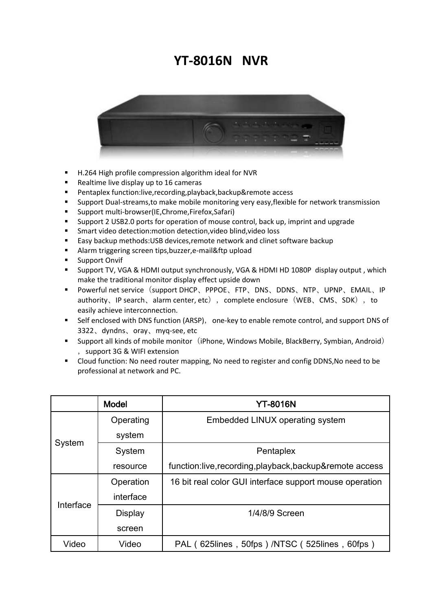## **YT-8016N NVR**



- H.264 High profile compression algorithm ideal for NVR
- Realtime live display up to 16 cameras
- Pentaplex function:live,recording,playback,backup&remote access
- **Support Dual-streams, to make mobile monitoring very easy, flexible for network transmission**
- Support multi-browser(IE,Chrome,Firefox,Safari)
- Support 2 USB2.0 ports for operation of mouse control, back up, imprint and upgrade
- Smart video detection:motion detection,video blind,video loss
- Easy backup methods:USB devices,remote network and clinet software backup
- Alarm triggering screen tips,buzzer,e-mail&ftp upload
- **Support Onvif**
- Support TV, VGA & HDMI output synchronously, VGA & HDMI HD 1080P display output , which make the traditional monitor display effect upside down
- Powerful net service (support DHCP、PPPOE、FTP、DNS、DDNS、NTP、UPNP、EMAIL、IP authority, IP search, alarm center, etc), complete enclosure (WEB, CMS, SDK), to easily achieve interconnection.
- Self enclosed with DNS function (ARSP), one-key to enable remote control, and support DNS of 3322、dyndns、oray、myq-see, etc
- **Support all kinds of mobile monitor** (iPhone, Windows Mobile, BlackBerry, Symbian, Android) ,support 3G & WIFI extension
- Cloud function: No need router mapping, No need to register and config DDNS,No need to be professional at network and PC.

|           | <b>Model</b> | <b>YT-8016N</b>                                          |
|-----------|--------------|----------------------------------------------------------|
| System    | Operating    | Embedded LINUX operating system                          |
|           | system       |                                                          |
|           | System       | Pentaplex                                                |
|           | resource     | function:live, recording, playback, backup&remote access |
| Interface | Operation    | 16 bit real color GUI interface support mouse operation  |
|           | interface    |                                                          |
|           | Display      | 1/4/8/9 Screen                                           |
|           | screen       |                                                          |
| Video     | Video        | PAL (625lines, 50fps) /NTSC (525lines, 60fps)            |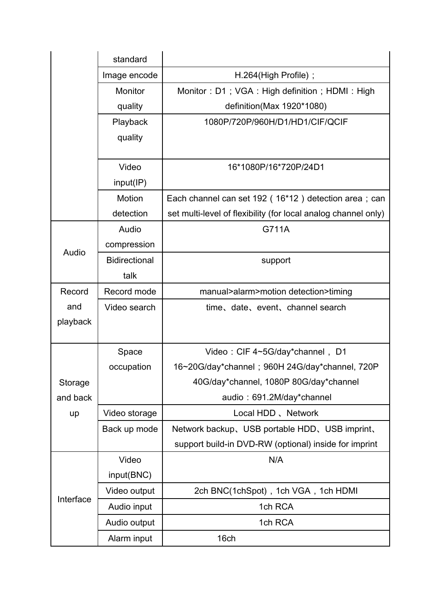|           | standard             |                                                                |
|-----------|----------------------|----------------------------------------------------------------|
|           | Image encode         | H.264(High Profile);                                           |
|           | <b>Monitor</b>       | Monitor: D1; VGA: High definition; HDMI: High                  |
|           | quality              | definition(Max 1920*1080)                                      |
|           | Playback             | 1080P/720P/960H/D1/HD1/CIF/QCIF                                |
|           | quality              |                                                                |
|           |                      |                                                                |
|           | Video                | 16*1080P/16*720P/24D1                                          |
|           | input/IP)            |                                                                |
|           | Motion               | Each channel can set 192 (16*12) detection area; can           |
|           | detection            | set multi-level of flexibility (for local analog channel only) |
|           | Audio                | G711A                                                          |
| Audio     | compression          |                                                                |
|           | <b>Bidirectional</b> | support                                                        |
|           | talk                 |                                                                |
| Record    | Record mode          | manual>alarm>motion detection>timing                           |
| and       | Video search         | time, date, event, channel search                              |
| playback  |                      |                                                                |
|           |                      |                                                                |
|           | Space                | Video: CIF 4~5G/day*channel, D1                                |
|           | occupation           | 16~20G/day*channel; 960H 24G/day*channel, 720P                 |
| Storage   |                      | 40G/day*channel, 1080P 80G/day*channel                         |
| and back  |                      | audio: 691.2M/day*channel                                      |
| up        | Video storage        | Local HDD, Network                                             |
|           | Back up mode         | Network backup, USB portable HDD, USB imprint,                 |
|           |                      | support build-in DVD-RW (optional) inside for imprint          |
|           | Video                | N/A                                                            |
| Interface | input(BNC)           |                                                                |
|           | Video output         | 2ch BNC(1chSpot), 1ch VGA, 1ch HDMI                            |
|           | Audio input          | 1ch RCA                                                        |
|           | Audio output         | 1ch RCA                                                        |
|           | Alarm input          | 16ch                                                           |